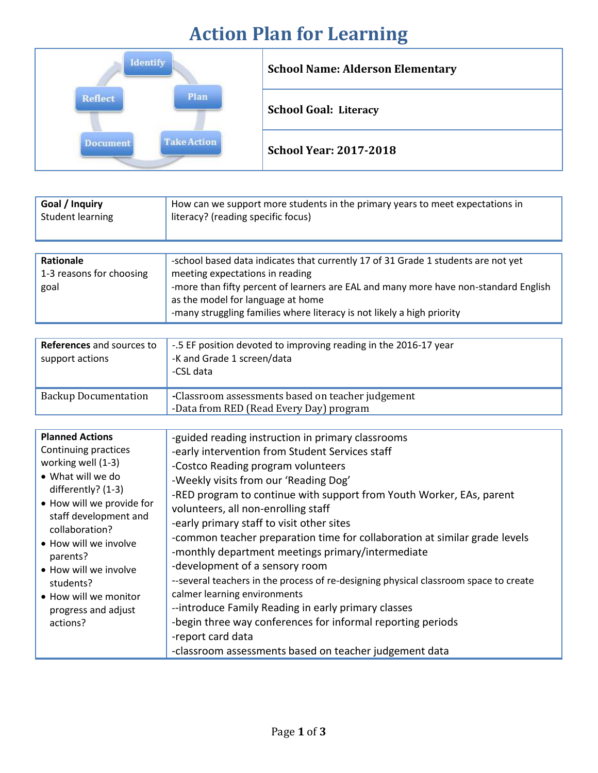## **Action Plan for Learning**

| Identify                        | <b>School Name: Alderson Elementary</b> |
|---------------------------------|-----------------------------------------|
| Plan<br>Reflect                 | <b>School Goal: Literacy</b>            |
| <b>Take Action</b><br>) ocument | <b>School Year: 2017-2018</b>           |

| Goal / Inquiry<br><b>Student learning</b> | How can we support more students in the primary years to meet expectations in<br>literacy? (reading specific focus) |
|-------------------------------------------|---------------------------------------------------------------------------------------------------------------------|
|                                           |                                                                                                                     |
| Rationale                                 | -school based data indicates that currently 17 of 31 Grade 1 students are not yet                                   |
| 1-3 reasons for choosing                  | meeting expectations in reading                                                                                     |
| goal                                      | -more than fifty percent of learners are EAL and many more have non-standard English                                |
|                                           | as the model for language at home                                                                                   |
|                                           | -many struggling families where literacy is not likely a high priority                                              |

| <b>References</b> and sources to<br>support actions | -.5 EF position devoted to improving reading in the 2016-17 year<br>-K and Grade 1 screen/data<br>-CSL data |
|-----------------------------------------------------|-------------------------------------------------------------------------------------------------------------|
| <b>Backup Documentation</b>                         | -Classroom assessments based on teacher judgement<br>-Data from RED (Read Every Day) program                |

| <b>Planned Actions</b>                  | -guided reading instruction in primary classrooms                                    |
|-----------------------------------------|--------------------------------------------------------------------------------------|
| Continuing practices                    | -early intervention from Student Services staff                                      |
| working well (1-3)                      | -Costco Reading program volunteers                                                   |
| • What will we do                       | -Weekly visits from our 'Reading Dog'                                                |
| differently? (1-3)                      | -RED program to continue with support from Youth Worker, EAs, parent                 |
| . How will we provide for               | volunteers, all non-enrolling staff                                                  |
| staff development and<br>collaboration? | -early primary staff to visit other sites                                            |
| • How will we involve                   | -common teacher preparation time for collaboration at similar grade levels           |
| parents?                                | -monthly department meetings primary/intermediate                                    |
| • How will we involve                   | -development of a sensory room                                                       |
| students?                               | --several teachers in the process of re-designing physical classroom space to create |
| • How will we monitor                   | calmer learning environments                                                         |
| progress and adjust                     | --introduce Family Reading in early primary classes                                  |
| actions?                                | -begin three way conferences for informal reporting periods                          |
|                                         | -report card data                                                                    |
|                                         | -classroom assessments based on teacher judgement data                               |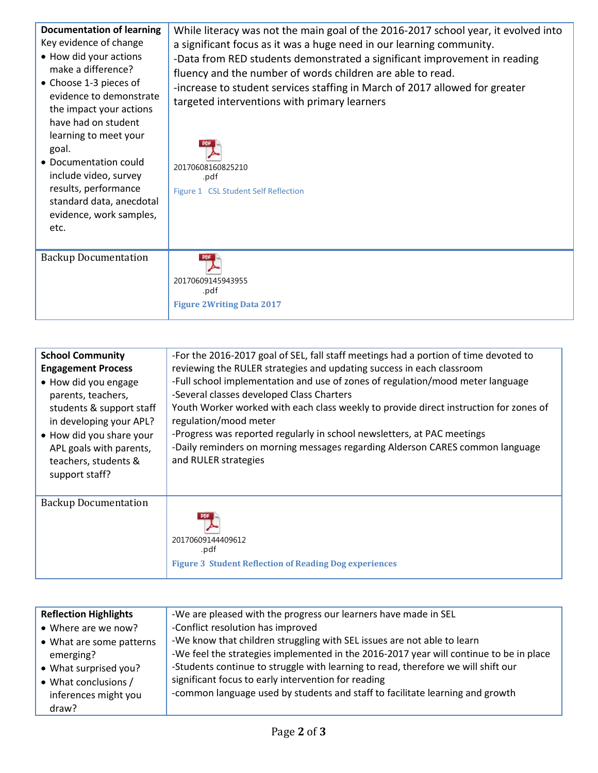| <b>Documentation of learning</b><br>Key evidence of change<br>• How did your actions<br>make a difference?<br>• Choose 1-3 pieces of<br>evidence to demonstrate<br>the impact your actions<br>have had on student<br>learning to meet your<br>goal.<br>• Documentation could<br>include video, survey<br>results, performance<br>standard data, anecdotal<br>evidence, work samples,<br>etc. | While literacy was not the main goal of the 2016-2017 school year, it evolved into<br>a significant focus as it was a huge need in our learning community.<br>-Data from RED students demonstrated a significant improvement in reading<br>fluency and the number of words children are able to read.<br>-increase to student services staffing in March of 2017 allowed for greater<br>targeted interventions with primary learners<br>20170608160825210<br>.pdf<br>Figure 1 CSL Student Self Reflection |
|----------------------------------------------------------------------------------------------------------------------------------------------------------------------------------------------------------------------------------------------------------------------------------------------------------------------------------------------------------------------------------------------|-----------------------------------------------------------------------------------------------------------------------------------------------------------------------------------------------------------------------------------------------------------------------------------------------------------------------------------------------------------------------------------------------------------------------------------------------------------------------------------------------------------|
| <b>Backup Documentation</b>                                                                                                                                                                                                                                                                                                                                                                  | 20170609145943955<br>.pdf<br><b>Figure 2Writing Data 2017</b>                                                                                                                                                                                                                                                                                                                                                                                                                                             |

| <b>School Community</b>                                                                                                                                                                            | -For the 2016-2017 goal of SEL, fall staff meetings had a portion of time devoted to                                                                                                                                                                                                                                                                                                                                              |
|----------------------------------------------------------------------------------------------------------------------------------------------------------------------------------------------------|-----------------------------------------------------------------------------------------------------------------------------------------------------------------------------------------------------------------------------------------------------------------------------------------------------------------------------------------------------------------------------------------------------------------------------------|
| <b>Engagement Process</b>                                                                                                                                                                          | reviewing the RULER strategies and updating success in each classroom                                                                                                                                                                                                                                                                                                                                                             |
| • How did you engage<br>parents, teachers,<br>students & support staff<br>in developing your APL?<br>• How did you share your<br>APL goals with parents,<br>teachers, students &<br>support staff? | -Full school implementation and use of zones of regulation/mood meter language<br>-Several classes developed Class Charters<br>Youth Worker worked with each class weekly to provide direct instruction for zones of<br>regulation/mood meter<br>-Progress was reported regularly in school newsletters, at PAC meetings<br>-Daily reminders on morning messages regarding Alderson CARES common language<br>and RULER strategies |
| <b>Backup Documentation</b>                                                                                                                                                                        | 20170609144409612<br>.pdf<br><b>Figure 3 Student Reflection of Reading Dog experiences</b>                                                                                                                                                                                                                                                                                                                                        |

| <b>Reflection Highlights</b> | -We are pleased with the progress our learners have made in SEL                        |
|------------------------------|----------------------------------------------------------------------------------------|
| • Where are we now?          | -Conflict resolution has improved                                                      |
| • What are some patterns     | -We know that children struggling with SEL issues are not able to learn                |
| emerging?                    | -We feel the strategies implemented in the 2016-2017 year will continue to be in place |
| • What surprised you?        | -Students continue to struggle with learning to read, therefore we will shift our      |
| • What conclusions /         | significant focus to early intervention for reading                                    |
| inferences might you         | -common language used by students and staff to facilitate learning and growth          |
| draw?                        |                                                                                        |